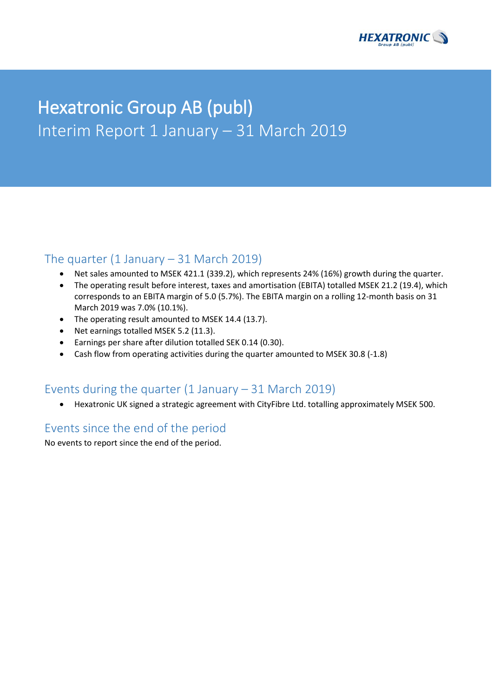

# Hexatronic Group AB (publ) Interim Report 1 January – 31 March 2019

## The quarter  $(1 \text{ January} - 31 \text{ March } 2019)$

- Net sales amounted to MSEK 421.1 (339.2), which represents 24% (16%) growth during the quarter.
- The operating result before interest, taxes and amortisation (EBITA) totalled MSEK 21.2 (19.4), which corresponds to an EBITA margin of 5.0 (5.7%). The EBITA margin on a rolling 12-month basis on 31 March 2019 was 7.0% (10.1%).
- The operating result amounted to MSEK 14.4 (13.7).
- Net earnings totalled MSEK 5.2 (11.3).
- Earnings per share after dilution totalled SEK 0.14 (0.30).
- Cash flow from operating activities during the quarter amounted to MSEK 30.8 (-1.8)

## Events during the quarter  $(1 \text{ January} - 31 \text{ March } 2019)$

• Hexatronic UK signed a strategic agreement with CityFibre Ltd. totalling approximately MSEK 500.

## Events since the end of the period

No events to report since the end of the period.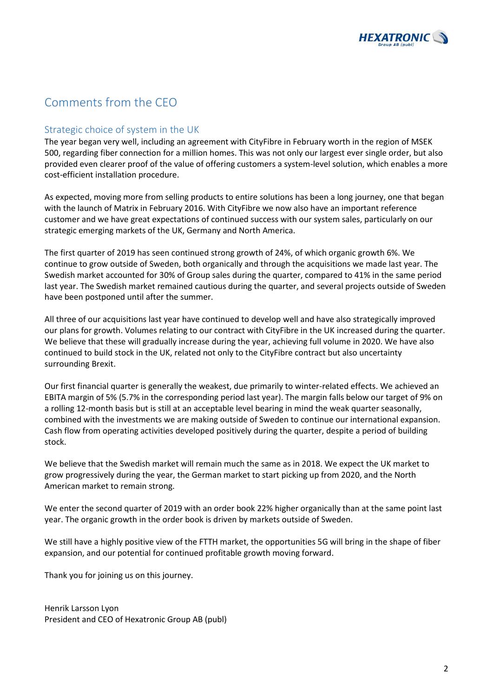

## Comments from the CEO

## Strategic choice of system in the UK

The year began very well, including an agreement with CityFibre in February worth in the region of MSEK 500, regarding fiber connection for a million homes. This was not only our largest ever single order, but also provided even clearer proof of the value of offering customers a system-level solution, which enables a more cost-efficient installation procedure.

As expected, moving more from selling products to entire solutions has been a long journey, one that began with the launch of Matrix in February 2016. With CityFibre we now also have an important reference customer and we have great expectations of continued success with our system sales, particularly on our strategic emerging markets of the UK, Germany and North America.

The first quarter of 2019 has seen continued strong growth of 24%, of which organic growth 6%. We continue to grow outside of Sweden, both organically and through the acquisitions we made last year. The Swedish market accounted for 30% of Group sales during the quarter, compared to 41% in the same period last year. The Swedish market remained cautious during the quarter, and several projects outside of Sweden have been postponed until after the summer.

All three of our acquisitions last year have continued to develop well and have also strategically improved our plans for growth. Volumes relating to our contract with CityFibre in the UK increased during the quarter. We believe that these will gradually increase during the year, achieving full volume in 2020. We have also continued to build stock in the UK, related not only to the CityFibre contract but also uncertainty surrounding Brexit.

Our first financial quarter is generally the weakest, due primarily to winter-related effects. We achieved an EBITA margin of 5% (5.7% in the corresponding period last year). The margin falls below our target of 9% on a rolling 12-month basis but is still at an acceptable level bearing in mind the weak quarter seasonally, combined with the investments we are making outside of Sweden to continue our international expansion. Cash flow from operating activities developed positively during the quarter, despite a period of building stock.

We believe that the Swedish market will remain much the same as in 2018. We expect the UK market to grow progressively during the year, the German market to start picking up from 2020, and the North American market to remain strong.

We enter the second quarter of 2019 with an order book 22% higher organically than at the same point last year. The organic growth in the order book is driven by markets outside of Sweden.

We still have a highly positive view of the FTTH market, the opportunities 5G will bring in the shape of fiber expansion, and our potential for continued profitable growth moving forward.

Thank you for joining us on this journey.

Henrik Larsson Lyon President and CEO of Hexatronic Group AB (publ)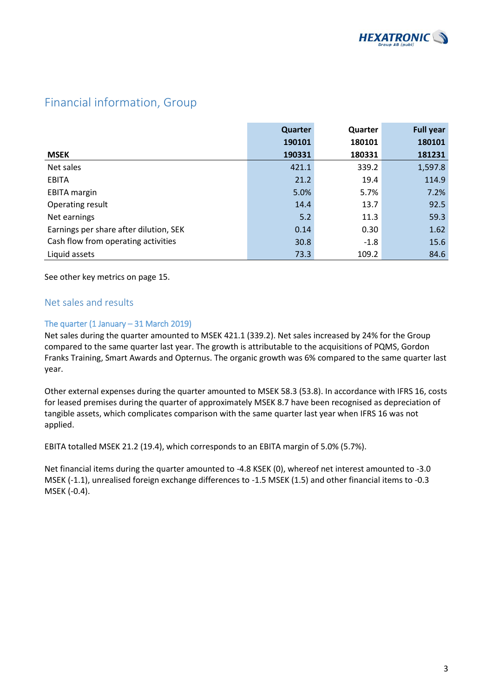

## Financial information, Group

|                                        | Quarter | Quarter | <b>Full year</b> |
|----------------------------------------|---------|---------|------------------|
|                                        | 190101  | 180101  | 180101           |
| <b>MSEK</b>                            | 190331  | 180331  | 181231           |
| Net sales                              | 421.1   | 339.2   | 1,597.8          |
| <b>EBITA</b>                           | 21.2    | 19.4    | 114.9            |
| <b>EBITA</b> margin                    | 5.0%    | 5.7%    | 7.2%             |
| Operating result                       | 14.4    | 13.7    | 92.5             |
| Net earnings                           | 5.2     | 11.3    | 59.3             |
| Earnings per share after dilution, SEK | 0.14    | 0.30    | 1.62             |
| Cash flow from operating activities    | 30.8    | $-1.8$  | 15.6             |
| Liquid assets                          | 73.3    | 109.2   | 84.6             |

See other key metrics on page 15.

### Net sales and results

### The quarter (1 January – 31 March 2019)

Net sales during the quarter amounted to MSEK 421.1 (339.2). Net sales increased by 24% for the Group compared to the same quarter last year. The growth is attributable to the acquisitions of PQMS, Gordon Franks Training, Smart Awards and Opternus. The organic growth was 6% compared to the same quarter last year.

Other external expenses during the quarter amounted to MSEK 58.3 (53.8). In accordance with IFRS 16, costs for leased premises during the quarter of approximately MSEK 8.7 have been recognised as depreciation of tangible assets, which complicates comparison with the same quarter last year when IFRS 16 was not applied.

EBITA totalled MSEK 21.2 (19.4), which corresponds to an EBITA margin of 5.0% (5.7%).

Net financial items during the quarter amounted to -4.8 KSEK (0), whereof net interest amounted to -3.0 MSEK (-1.1), unrealised foreign exchange differences to -1.5 MSEK (1.5) and other financial items to -0.3 MSEK (-0.4).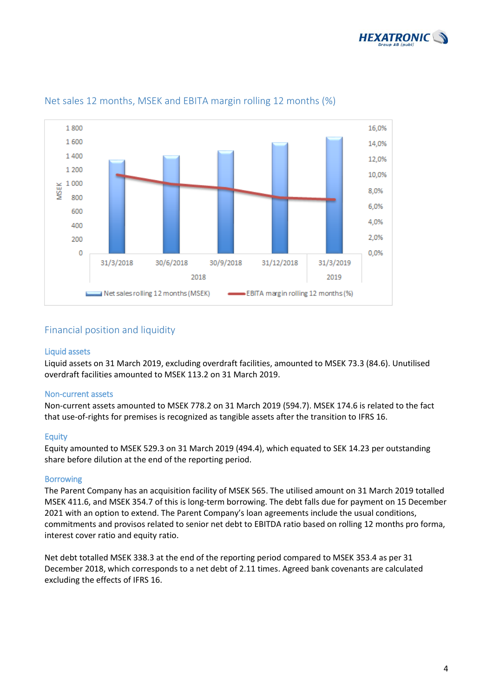



## Net sales 12 months, MSEK and EBITA margin rolling 12 months (%)

### Financial position and liquidity

#### Liquid assets

Liquid assets on 31 March 2019, excluding overdraft facilities, amounted to MSEK 73.3 (84.6). Unutilised overdraft facilities amounted to MSEK 113.2 on 31 March 2019.

#### Non-current assets

Non-current assets amounted to MSEK 778.2 on 31 March 2019 (594.7). MSEK 174.6 is related to the fact that use-of-rights for premises is recognized as tangible assets after the transition to IFRS 16.

#### **Equity**

Equity amounted to MSEK 529.3 on 31 March 2019 (494.4), which equated to SEK 14.23 per outstanding share before dilution at the end of the reporting period.

#### Borrowing

The Parent Company has an acquisition facility of MSEK 565. The utilised amount on 31 March 2019 totalled MSEK 411.6, and MSEK 354.7 of this is long-term borrowing. The debt falls due for payment on 15 December 2021 with an option to extend. The Parent Company's loan agreements include the usual conditions, commitments and provisos related to senior net debt to EBITDA ratio based on rolling 12 months pro forma, interest cover ratio and equity ratio.

Net debt totalled MSEK 338.3 at the end of the reporting period compared to MSEK 353.4 as per 31 December 2018, which corresponds to a net debt of 2.11 times. Agreed bank covenants are calculated excluding the effects of IFRS 16.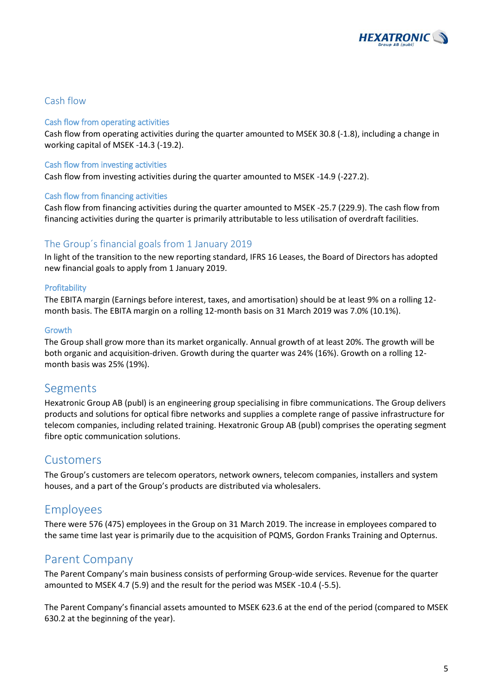

### Cash flow

#### Cash flow from operating activities

Cash flow from operating activities during the quarter amounted to MSEK 30.8 (-1.8), including a change in working capital of MSEK -14.3 (-19.2).

#### Cash flow from investing activities

Cash flow from investing activities during the quarter amounted to MSEK -14.9 (-227.2).

#### Cash flow from financing activities

Cash flow from financing activities during the quarter amounted to MSEK -25.7 (229.9). The cash flow from financing activities during the quarter is primarily attributable to less utilisation of overdraft facilities.

### The Group´s financial goals from 1 January 2019

In light of the transition to the new reporting standard, IFRS 16 Leases, the Board of Directors has adopted new financial goals to apply from 1 January 2019.

#### **Profitability**

The EBITA margin (Earnings before interest, taxes, and amortisation) should be at least 9% on a rolling 12 month basis. The EBITA margin on a rolling 12-month basis on 31 March 2019 was 7.0% (10.1%).

#### Growth

The Group shall grow more than its market organically. Annual growth of at least 20%. The growth will be both organic and acquisition-driven. Growth during the quarter was 24% (16%). Growth on a rolling 12 month basis was 25% (19%).

## Segments

Hexatronic Group AB (publ) is an engineering group specialising in fibre communications. The Group delivers products and solutions for optical fibre networks and supplies a complete range of passive infrastructure for telecom companies, including related training. Hexatronic Group AB (publ) comprises the operating segment fibre optic communication solutions.

## Customers

The Group's customers are telecom operators, network owners, telecom companies, installers and system houses, and a part of the Group's products are distributed via wholesalers.

## Employees

There were 576 (475) employees in the Group on 31 March 2019. The increase in employees compared to the same time last year is primarily due to the acquisition of PQMS, Gordon Franks Training and Opternus.

## Parent Company

The Parent Company's main business consists of performing Group-wide services. Revenue for the quarter amounted to MSEK 4.7 (5.9) and the result for the period was MSEK -10.4 (-5.5).

The Parent Company's financial assets amounted to MSEK 623.6 at the end of the period (compared to MSEK 630.2 at the beginning of the year).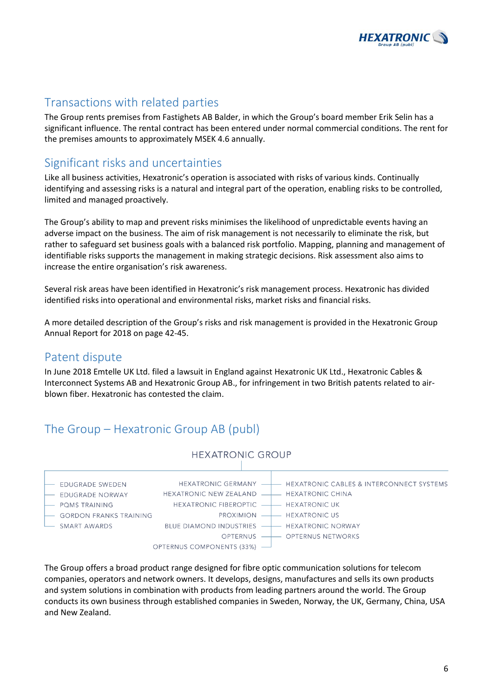

## Transactions with related parties

The Group rents premises from Fastighets AB Balder, in which the Group's board member Erik Selin has a significant influence. The rental contract has been entered under normal commercial conditions. The rent for the premises amounts to approximately MSEK 4.6 annually.

## Significant risks and uncertainties

Like all business activities, Hexatronic's operation is associated with risks of various kinds. Continually identifying and assessing risks is a natural and integral part of the operation, enabling risks to be controlled, limited and managed proactively.

The Group's ability to map and prevent risks minimises the likelihood of unpredictable events having an adverse impact on the business. The aim of risk management is not necessarily to eliminate the risk, but rather to safeguard set business goals with a balanced risk portfolio. Mapping, planning and management of identifiable risks supports the management in making strategic decisions. Risk assessment also aims to increase the entire organisation's risk awareness.

Several risk areas have been identified in Hexatronic's risk management process. Hexatronic has divided identified risks into operational and environmental risks, market risks and financial risks.

A more detailed description of the Group's risks and risk management is provided in the Hexatronic Group Annual Report for 2018 on page 42-45.

## Patent dispute

In June 2018 Emtelle UK Ltd. filed a lawsuit in England against Hexatronic UK Ltd., Hexatronic Cables & Interconnect Systems AB and Hexatronic Group AB., for infringement in two British patents related to airblown fiber. Hexatronic has contested the claim.

## The Group – Hexatronic Group AB (publ)



The Group offers a broad product range designed for fibre optic communication solutions for telecom companies, operators and network owners. It develops, designs, manufactures and sells its own products and system solutions in combination with products from leading partners around the world. The Group conducts its own business through established companies in Sweden, Norway, the UK, Germany, China, USA and New Zealand.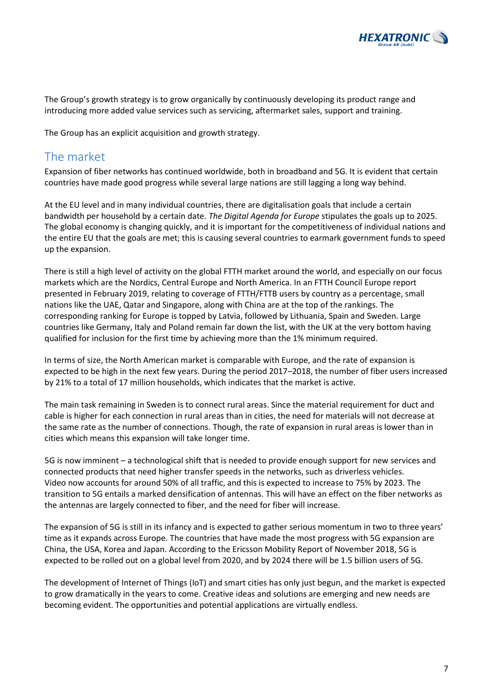

The Group's growth strategy is to grow organically by continuously developing its product range and introducing more added value services such as servicing, aftermarket sales, support and training.

The Group has an explicit acquisition and growth strategy.

## The market

Expansion of fiber networks has continued worldwide, both in broadband and 5G. It is evident that certain countries have made good progress while several large nations are still lagging a long way behind.

At the EU level and in many individual countries, there are digitalisation goals that include a certain bandwidth per household by a certain date. *The Digital Agenda for Europe* stipulates the goals up to 2025. The global economy is changing quickly, and it is important for the competitiveness of individual nations and the entire EU that the goals are met; this is causing several countries to earmark government funds to speed up the expansion.

There is still a high level of activity on the global FTTH market around the world, and especially on our focus markets which are the Nordics, Central Europe and North America. In an FTTH Council Europe report presented in February 2019, relating to coverage of FTTH/FTTB users by country as a percentage, small nations like the UAE, Qatar and Singapore, along with China are at the top of the rankings. The corresponding ranking for Europe is topped by Latvia, followed by Lithuania, Spain and Sweden. Large countries like Germany, Italy and Poland remain far down the list, with the UK at the very bottom having qualified for inclusion for the first time by achieving more than the 1% minimum required.

In terms of size, the North American market is comparable with Europe, and the rate of expansion is expected to be high in the next few years. During the period 2017–2018, the number of fiber users increased by 21% to a total of 17 million households, which indicates that the market is active.

The main task remaining in Sweden is to connect rural areas. Since the material requirement for duct and cable is higher for each connection in rural areas than in cities, the need for materials will not decrease at the same rate as the number of connections. Though, the rate of expansion in rural areas is lower than in cities which means this expansion will take longer time.

5G is now imminent – a technological shift that is needed to provide enough support for new services and connected products that need higher transfer speeds in the networks, such as driverless vehicles. Video now accounts for around 50% of all traffic, and this is expected to increase to 75% by 2023. The transition to 5G entails a marked densification of antennas. This will have an effect on the fiber networks as the antennas are largely connected to fiber, and the need for fiber will increase.

The expansion of 5G is still in its infancy and is expected to gather serious momentum in two to three years' time as it expands across Europe. The countries that have made the most progress with 5G expansion are China, the USA, Korea and Japan. According to the Ericsson Mobility Report of November 2018, 5G is expected to be rolled out on a global level from 2020, and by 2024 there will be 1.5 billion users of 5G.

The development of Internet of Things (IoT) and smart cities has only just begun, and the market is expected to grow dramatically in the years to come. Creative ideas and solutions are emerging and new needs are becoming evident. The opportunities and potential applications are virtually endless.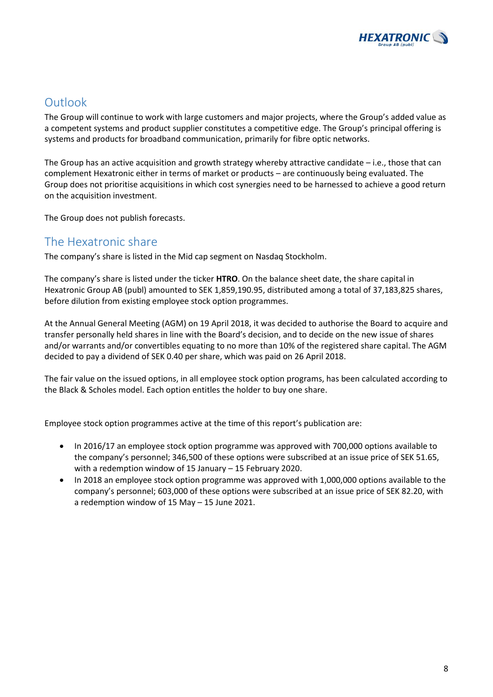

## **Outlook**

The Group will continue to work with large customers and major projects, where the Group's added value as a competent systems and product supplier constitutes a competitive edge. The Group's principal offering is systems and products for broadband communication, primarily for fibre optic networks.

The Group has an active acquisition and growth strategy whereby attractive candidate – i.e., those that can complement Hexatronic either in terms of market or products – are continuously being evaluated. The Group does not prioritise acquisitions in which cost synergies need to be harnessed to achieve a good return on the acquisition investment.

The Group does not publish forecasts.

## The Hexatronic share

The company's share is listed in the Mid cap segment on Nasdaq Stockholm.

The company's share is listed under the ticker **HTRO**. On the balance sheet date, the share capital in Hexatronic Group AB (publ) amounted to SEK 1,859,190.95, distributed among a total of 37,183,825 shares, before dilution from existing employee stock option programmes.

At the Annual General Meeting (AGM) on 19 April 2018, it was decided to authorise the Board to acquire and transfer personally held shares in line with the Board's decision, and to decide on the new issue of shares and/or warrants and/or convertibles equating to no more than 10% of the registered share capital. The AGM decided to pay a dividend of SEK 0.40 per share, which was paid on 26 April 2018.

The fair value on the issued options, in all employee stock option programs, has been calculated according to the Black & Scholes model. Each option entitles the holder to buy one share.

Employee stock option programmes active at the time of this report's publication are:

- In 2016/17 an employee stock option programme was approved with 700,000 options available to the company's personnel; 346,500 of these options were subscribed at an issue price of SEK 51.65, with a redemption window of 15 January – 15 February 2020.
- In 2018 an employee stock option programme was approved with 1,000,000 options available to the company's personnel; 603,000 of these options were subscribed at an issue price of SEK 82.20, with a redemption window of 15 May – 15 June 2021.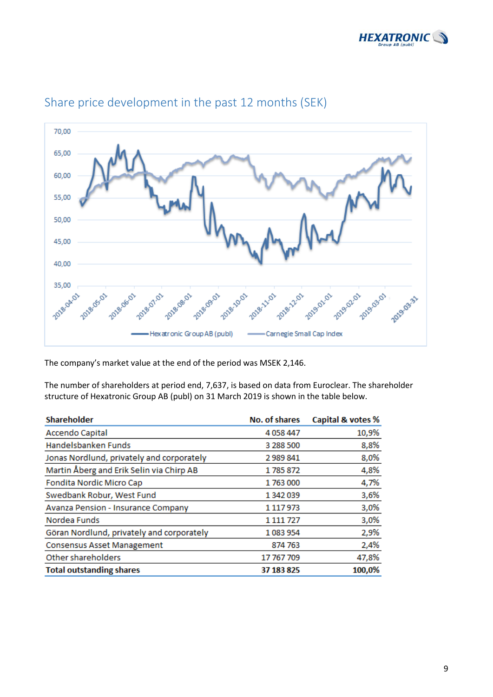



## Share price development in the past 12 months (SEK)

The company's market value at the end of the period was MSEK 2,146.

The number of shareholders at period end, 7,637, is based on data from Euroclear. The shareholder structure of Hexatronic Group AB (publ) on 31 March 2019 is shown in the table below.

| <b>Shareholder</b>                        | <b>No. of shares</b> | Capital & votes % |
|-------------------------------------------|----------------------|-------------------|
| <b>Accendo Capital</b>                    | 4 0 58 4 47          | 10,9%             |
| Handelsbanken Funds                       | 3 288 500            | 8,8%              |
| Jonas Nordlund, privately and corporately | 2989841              | 8,0%              |
| Martin Åberg and Erik Selin via Chirp AB  | 1785872              | 4,8%              |
| Fondita Nordic Micro Cap                  | 1763000              | 4,7%              |
| Swedbank Robur, West Fund                 | 1 342 039            | 3,6%              |
| Avanza Pension - Insurance Company        | 1 1 1 7 9 7 3        | 3,0%              |
| Nordea Funds                              | 1 1 1 7 2 7          | 3,0%              |
| Göran Nordlund, privately and corporately | 1083954              | 2,9%              |
| <b>Consensus Asset Management</b>         | 874 763              | 2,4%              |
| Other shareholders                        | 17 767 709           | 47,8%             |
| <b>Total outstanding shares</b>           | 37 183 825           | 100,0%            |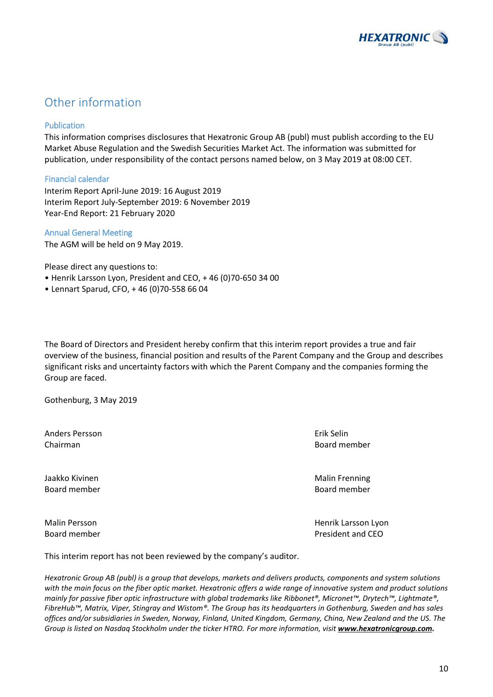

## Other information

### Publication

This information comprises disclosures that Hexatronic Group AB (publ) must publish according to the EU Market Abuse Regulation and the Swedish Securities Market Act. The information was submitted for publication, under responsibility of the contact persons named below, on 3 May 2019 at 08:00 CET.

#### Financial calendar

Interim Report April-June 2019: 16 August 2019 Interim Report July-September 2019: 6 November 2019 Year-End Report: 21 February 2020

#### Annual General Meeting

The AGM will be held on 9 May 2019.

Please direct any questions to:

- Henrik Larsson Lyon, President and CEO, + 46 (0)70-650 34 00
- Lennart Sparud, CFO, + 46 (0)70-558 66 04

The Board of Directors and President hereby confirm that this interim report provides a true and fair overview of the business, financial position and results of the Parent Company and the Group and describes significant risks and uncertainty factors with which the Parent Company and the companies forming the Group are faced.

Gothenburg, 3 May 2019

Anders Persson Erik Selin Chairman Board member

Jaakko Kivinen Malin Frenning (Malin Frenning) waa meesta waa madaxwee Malin Frenning Board member Board member

Malin Persson **Malin Persson** Lyon Henrik Larsson Lyon Board member **President and CEO** 

This interim report has not been reviewed by the company's auditor.

*Hexatronic Group AB (publ) is a group that develops, markets and delivers products, components and system solutions with the main focus on the fiber optic market. Hexatronic offers a wide range of innovative system and product solutions mainly for passive fiber optic infrastructure with global trademarks like Ribbonet®, Micronet™, Drytech™, Lightmate®, FibreHub™, Matrix, Viper, Stingray and Wistom®. The Group has its headquarters in Gothenburg, Sweden and has sales offices and/or subsidiaries in Sweden, Norway, Finland, United Kingdom, Germany, China, New Zealand and the US. The Group is listed on Nasdaq Stockholm under the ticker HTRO. For more information, visit [www.hexatronicgroup.com.](http://www.hexatronicgroup.com/)*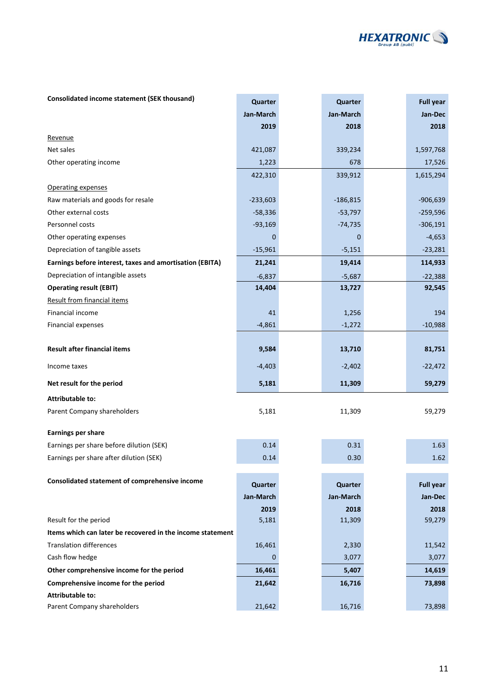

| Consolidated income statement (SEK thousand)               | Quarter     | Quarter    | <b>Full year</b> |
|------------------------------------------------------------|-------------|------------|------------------|
|                                                            | Jan-March   | Jan-March  | Jan-Dec          |
|                                                            | 2019        | 2018       | 2018             |
| Revenue                                                    |             |            |                  |
| Net sales                                                  | 421,087     | 339,234    | 1,597,768        |
| Other operating income                                     | 1,223       | 678        | 17,526           |
|                                                            | 422,310     | 339,912    | 1,615,294        |
| Operating expenses                                         |             |            |                  |
| Raw materials and goods for resale                         | $-233,603$  | $-186,815$ | $-906,639$       |
| Other external costs                                       | $-58,336$   | $-53,797$  | $-259,596$       |
| Personnel costs                                            | $-93,169$   | $-74,735$  | $-306,191$       |
| Other operating expenses                                   | $\mathbf 0$ | 0          | $-4,653$         |
| Depreciation of tangible assets                            | $-15,961$   | $-5,151$   | $-23,281$        |
| Earnings before interest, taxes and amortisation (EBITA)   | 21,241      | 19,414     | 114,933          |
| Depreciation of intangible assets                          | $-6,837$    | $-5,687$   | $-22,388$        |
| <b>Operating result (EBIT)</b>                             | 14,404      | 13,727     | 92,545           |
| <b>Result from financial items</b>                         |             |            |                  |
| Financial income                                           | 41          | 1,256      | 194              |
| Financial expenses                                         | $-4,861$    | $-1,272$   | $-10,988$        |
|                                                            |             |            |                  |
| <b>Result after financial items</b>                        | 9,584       | 13,710     | 81,751           |
| Income taxes                                               | $-4,403$    | $-2,402$   | $-22,472$        |
| Net result for the period                                  | 5,181       | 11,309     | 59,279           |
| <b>Attributable to:</b>                                    |             |            |                  |
| Parent Company shareholders                                | 5,181       | 11,309     | 59,279           |
| <b>Earnings per share</b>                                  |             |            |                  |
| Earnings per share before dilution (SEK)                   | 0.14        | 0.31       | 1.63             |
| Earnings per share after dilution (SEK)                    | 0.14        | 0.30       | 1.62             |
|                                                            |             |            |                  |
| Consolidated statement of comprehensive income             | Quarter     | Quarter    | <b>Full year</b> |
|                                                            | Jan-March   | Jan-March  | Jan-Dec          |
|                                                            | 2019        | 2018       | 2018             |
| Result for the period                                      | 5,181       | 11,309     | 59,279           |
| Items which can later be recovered in the income statement |             |            |                  |
| <b>Translation differences</b>                             | 16,461      | 2,330      | 11,542           |
| Cash flow hedge                                            | $\mathbf 0$ | 3,077      | 3,077            |
| Other comprehensive income for the period                  | 16,461      | 5,407      | 14,619           |
| Comprehensive income for the period                        | 21,642      | 16,716     | 73,898           |
| Attributable to:                                           |             |            |                  |
| Parent Company shareholders                                | 21,642      | 16,716     | 73,898           |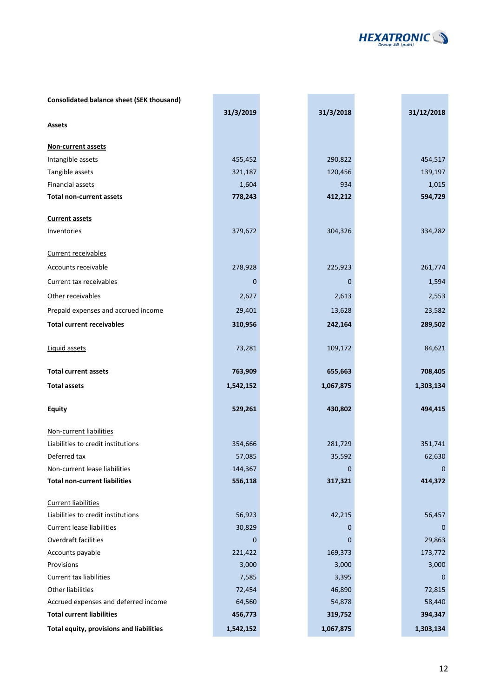

| <b>Consolidated balance sheet (SEK thousand)</b> |             |           |                |
|--------------------------------------------------|-------------|-----------|----------------|
|                                                  | 31/3/2019   | 31/3/2018 | 31/12/2018     |
| <b>Assets</b>                                    |             |           |                |
|                                                  |             |           |                |
| Non-current assets                               |             |           |                |
| Intangible assets                                | 455,452     | 290,822   | 454,517        |
| Tangible assets                                  | 321,187     | 120,456   | 139,197        |
| Financial assets                                 | 1,604       | 934       | 1,015          |
| <b>Total non-current assets</b>                  | 778,243     | 412,212   | 594,729        |
| <b>Current assets</b>                            |             |           |                |
| Inventories                                      | 379,672     | 304,326   | 334,282        |
|                                                  |             |           |                |
| Current receivables                              |             |           |                |
| Accounts receivable                              | 278,928     | 225,923   | 261,774        |
| Current tax receivables                          | 0           | 0         | 1,594          |
| Other receivables                                | 2,627       | 2,613     | 2,553          |
| Prepaid expenses and accrued income              | 29,401      | 13,628    | 23,582         |
| <b>Total current receivables</b>                 | 310,956     | 242,164   | 289,502        |
|                                                  |             |           |                |
| Liquid assets                                    | 73,281      | 109,172   | 84,621         |
| <b>Total current assets</b>                      | 763,909     | 655,663   | 708,405        |
|                                                  |             |           |                |
| <b>Total assets</b>                              | 1,542,152   | 1,067,875 | 1,303,134      |
| <b>Equity</b>                                    | 529,261     | 430,802   | 494,415        |
|                                                  |             |           |                |
| Non-current liabilities                          |             |           |                |
| Liabilities to credit institutions               | 354,666     | 281,729   | 351,741        |
| Deferred tax                                     | 57,085      | 35,592    | 62,630         |
| Non-current lease liabilities                    | 144,367     | $\Omega$  | $\overline{0}$ |
| <b>Total non-current liabilities</b>             | 556,118     | 317,321   | 414,372        |
|                                                  |             |           |                |
| <b>Current liabilities</b>                       |             |           |                |
| Liabilities to credit institutions               | 56,923      | 42,215    | 56,457         |
| <b>Current lease liabilities</b>                 | 30,829      | 0         | 0              |
| Overdraft facilities                             | $\mathbf 0$ | 0         | 29,863         |
| Accounts payable                                 | 221,422     | 169,373   | 173,772        |
| Provisions                                       | 3,000       | 3,000     | 3,000          |
| Current tax liabilities                          | 7,585       | 3,395     | 0              |
| Other liabilities                                | 72,454      | 46,890    | 72,815         |
| Accrued expenses and deferred income             | 64,560      | 54,878    | 58,440         |
| <b>Total current liabilities</b>                 | 456,773     | 319,752   | 394,347        |
| Total equity, provisions and liabilities         | 1,542,152   | 1,067,875 | 1,303,134      |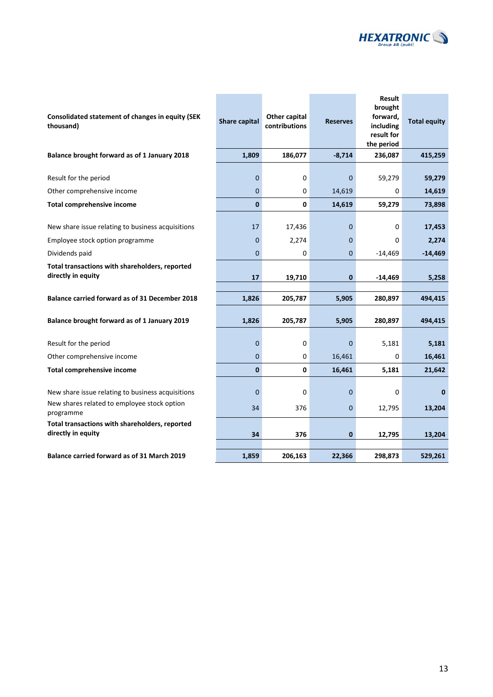

| Consolidated statement of changes in equity (SEK<br>thousand)                                                 | Share capital              | Other capital<br>contributions | <b>Reserves</b> | Result<br>brought<br>forward,<br>including<br>result for<br>the period | <b>Total equity</b>   |
|---------------------------------------------------------------------------------------------------------------|----------------------------|--------------------------------|-----------------|------------------------------------------------------------------------|-----------------------|
| Balance brought forward as of 1 January 2018                                                                  | 1,809                      | 186,077                        | $-8,714$        | 236,087                                                                | 415,259               |
| Result for the period                                                                                         | $\mathbf 0$<br>$\mathbf 0$ | 0                              | 0               | 59,279                                                                 | 59,279                |
| Other comprehensive income                                                                                    | $\mathbf{0}$               | 0<br>$\mathbf 0$               | 14,619          | 0                                                                      | 14,619                |
| <b>Total comprehensive income</b>                                                                             |                            |                                | 14,619          | 59,279                                                                 | 73,898                |
| New share issue relating to business acquisitions                                                             | 17                         | 17,436                         | 0               | 0                                                                      | 17,453                |
| Employee stock option programme                                                                               | 0                          | 2,274                          | 0               | 0                                                                      | 2,274                 |
| Dividends paid                                                                                                | $\mathbf 0$                | 0                              | 0               | -14,469                                                                | $-14,469$             |
| Total transactions with shareholders, reported<br>directly in equity                                          | 17                         | 19,710                         | 0               | -14,469                                                                | 5,258                 |
| Balance carried forward as of 31 December 2018                                                                | 1,826                      | 205,787                        | 5,905           | 280,897                                                                | 494,415               |
| Balance brought forward as of 1 January 2019                                                                  | 1,826                      | 205,787                        | 5,905           | 280,897                                                                | 494,415               |
| Result for the period                                                                                         | $\mathbf 0$                | 0                              | 0               | 5,181                                                                  | 5,181                 |
| Other comprehensive income                                                                                    | $\mathbf 0$                | 0                              | 16,461          | 0                                                                      | 16,461                |
| <b>Total comprehensive income</b>                                                                             | $\bf{0}$                   | 0                              | 16,461          | 5,181                                                                  | 21,642                |
| New share issue relating to business acquisitions<br>New shares related to employee stock option<br>programme | $\mathbf 0$<br>34          | 0<br>376                       | 0<br>0          | 0<br>12,795                                                            | $\mathbf 0$<br>13,204 |
| Total transactions with shareholders, reported<br>directly in equity                                          | 34                         | 376                            | 0               | 12,795                                                                 | 13,204                |
| Balance carried forward as of 31 March 2019                                                                   | 1,859                      | 206,163                        | 22,366          | 298,873                                                                | 529,261               |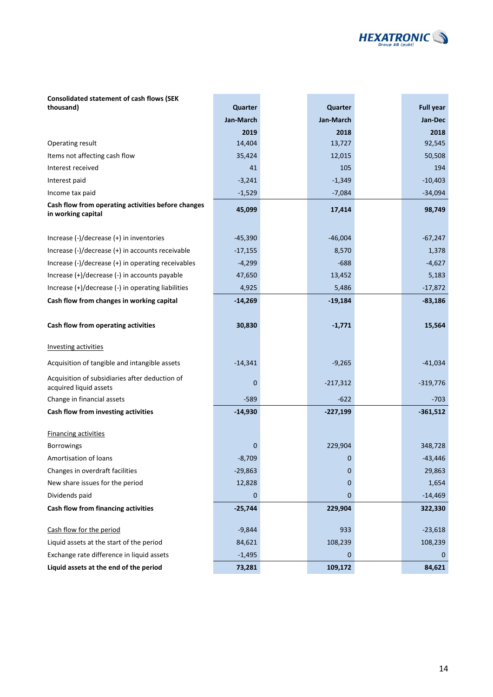

| <b>Consolidated statement of cash flows (SEK)</b>                        |           |             |                  |
|--------------------------------------------------------------------------|-----------|-------------|------------------|
| thousand)                                                                | Quarter   | Quarter     | <b>Full year</b> |
|                                                                          | Jan-March | Jan-March   | Jan-Dec          |
|                                                                          | 2019      | 2018        | 2018             |
| Operating result                                                         | 14,404    | 13,727      | 92,545           |
| Items not affecting cash flow                                            | 35,424    | 12,015      | 50,508           |
| Interest received                                                        | 41        | 105         | 194              |
| Interest paid                                                            | $-3,241$  | $-1,349$    | $-10,403$        |
| Income tax paid                                                          | $-1,529$  | $-7,084$    | $-34,094$        |
| Cash flow from operating activities before changes<br>in working capital | 45,099    | 17,414      | 98,749           |
|                                                                          |           |             |                  |
| Increase $(-)/$ decrease $(+)$ in inventories                            | $-45,390$ | $-46,004$   | $-67,247$        |
| Increase (-)/decrease (+) in accounts receivable                         | $-17,155$ | 8,570       | 1,378            |
| Increase $(-)/$ decrease $(+)$ in operating receivables                  | $-4,299$  | $-688$      | $-4,627$         |
| Increase (+)/decrease (-) in accounts payable                            | 47,650    | 13,452      | 5,183            |
| Increase (+)/decrease (-) in operating liabilities                       | 4,925     | 5,486       | $-17,872$        |
| Cash flow from changes in working capital                                | $-14,269$ | $-19,184$   | $-83,186$        |
|                                                                          |           |             |                  |
| Cash flow from operating activities                                      | 30,830    | $-1,771$    | 15,564           |
| <b>Investing activities</b>                                              |           |             |                  |
| Acquisition of tangible and intangible assets                            | $-14,341$ | $-9,265$    | $-41,034$        |
| Acquisition of subsidiaries after deduction of<br>acquired liquid assets | 0         | $-217,312$  | $-319,776$       |
| Change in financial assets                                               | $-589$    | $-622$      | $-703$           |
| Cash flow from investing activities                                      | $-14,930$ | $-227,199$  | $-361,512$       |
| <b>Financing activities</b>                                              |           |             |                  |
| <b>Borrowings</b>                                                        | 0         | 229,904     | 348,728          |
| Amortisation of loans                                                    | $-8,709$  | 0           | $-43,446$        |
| Changes in overdraft facilities                                          | $-29,863$ | 0           | 29,863           |
| New share issues for the period                                          | 12,828    | 0           | 1,654            |
| Dividends paid                                                           | 0         | $\mathbf 0$ | $-14,469$        |
| Cash flow from financing activities                                      | $-25,744$ | 229,904     | 322,330          |
|                                                                          |           |             |                  |
| Cash flow for the period                                                 | $-9,844$  | 933         | $-23,618$        |
| Liquid assets at the start of the period                                 | 84,621    | 108,239     | 108,239          |
| Exchange rate difference in liquid assets                                | $-1,495$  | 0           | 0                |
| Liquid assets at the end of the period                                   | 73,281    | 109,172     | 84,621           |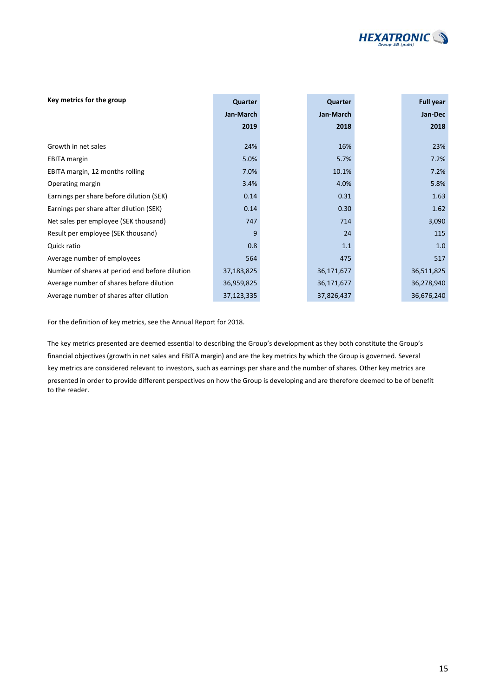

| Key metrics for the group                      | Quarter    | Quarter    | <b>Full year</b> |
|------------------------------------------------|------------|------------|------------------|
|                                                | Jan-March  | Jan-March  | Jan-Dec          |
|                                                | 2019       | 2018       | 2018             |
|                                                |            |            |                  |
| Growth in net sales                            | 24%        | 16%        | 23%              |
| <b>EBITA</b> margin                            | 5.0%       | 5.7%       | 7.2%             |
| EBITA margin, 12 months rolling                | 7.0%       | 10.1%      | 7.2%             |
| Operating margin                               | 3.4%       | 4.0%       | 5.8%             |
| Earnings per share before dilution (SEK)       | 0.14       | 0.31       | 1.63             |
| Earnings per share after dilution (SEK)        | 0.14       | 0.30       | 1.62             |
| Net sales per employee (SEK thousand)          | 747        | 714        | 3,090            |
| Result per employee (SEK thousand)             | q          | 24         | 115              |
| Quick ratio                                    | 0.8        | 1.1        | 1.0              |
| Average number of employees                    | 564        | 475        | 517              |
| Number of shares at period end before dilution | 37,183,825 | 36,171,677 | 36,511,825       |
| Average number of shares before dilution       | 36,959,825 | 36,171,677 | 36,278,940       |
| Average number of shares after dilution        | 37,123,335 | 37,826,437 | 36,676,240       |

For the definition of key metrics, see the Annual Report for 2018.

The key metrics presented are deemed essential to describing the Group's development as they both constitute the Group's financial objectives (growth in net sales and EBITA margin) and are the key metrics by which the Group is governed. Several key metrics are considered relevant to investors, such as earnings per share and the number of shares. Other key metrics are presented in order to provide different perspectives on how the Group is developing and are therefore deemed to be of benefit to the reader.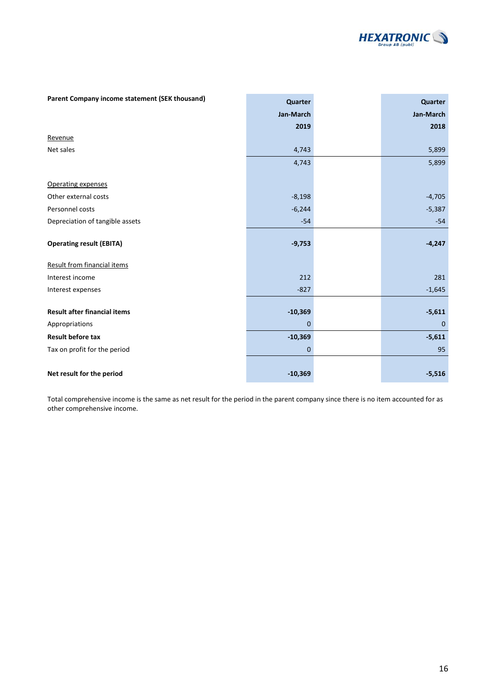

| Parent Company income statement (SEK thousand) | Quarter        | Quarter      |
|------------------------------------------------|----------------|--------------|
|                                                | Jan-March      | Jan-March    |
|                                                | 2019           | 2018         |
| Revenue                                        |                |              |
| Net sales                                      | 4,743          | 5,899        |
|                                                | 4,743          | 5,899        |
| Operating expenses                             |                |              |
| Other external costs                           | $-8,198$       | $-4,705$     |
| Personnel costs                                | $-6,244$       | $-5,387$     |
| Depreciation of tangible assets                | $-54$          | $-54$        |
| <b>Operating result (EBITA)</b>                | $-9,753$       | $-4,247$     |
| Result from financial items                    |                |              |
| Interest income                                | 212            | 281          |
| Interest expenses                              | $-827$         | $-1,645$     |
| <b>Result after financial items</b>            | $-10,369$      | $-5,611$     |
| Appropriations                                 | $\mathbf 0$    | $\mathbf{0}$ |
| <b>Result before tax</b>                       | $-10,369$      | $-5,611$     |
| Tax on profit for the period                   | $\overline{0}$ | 95           |
|                                                |                |              |
| Net result for the period                      | $-10,369$      | $-5,516$     |

Total comprehensive income is the same as net result for the period in the parent company since there is no item accounted for as other comprehensive income.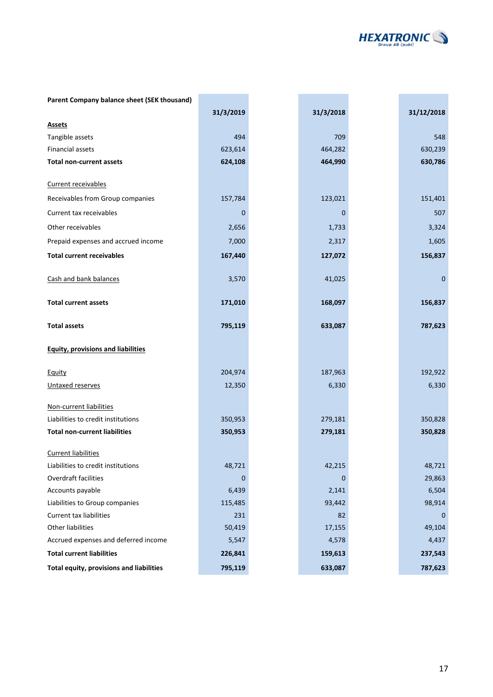

| Parent Company balance sheet (SEK thousand) |             |             |             |
|---------------------------------------------|-------------|-------------|-------------|
|                                             | 31/3/2019   | 31/3/2018   | 31/12/2018  |
| <b>Assets</b>                               |             |             |             |
| Tangible assets                             | 494         | 709         | 548         |
| <b>Financial assets</b>                     | 623,614     | 464,282     | 630,239     |
| <b>Total non-current assets</b>             | 624,108     | 464,990     | 630,786     |
| Current receivables                         |             |             |             |
| Receivables from Group companies            | 157,784     | 123,021     | 151,401     |
| Current tax receivables                     | 0           | $\mathbf 0$ | 507         |
| Other receivables                           | 2,656       | 1,733       | 3,324       |
| Prepaid expenses and accrued income         | 7,000       | 2,317       | 1,605       |
| <b>Total current receivables</b>            | 167,440     | 127,072     | 156,837     |
| Cash and bank balances                      | 3,570       | 41,025      | $\mathbf 0$ |
| <b>Total current assets</b>                 | 171,010     | 168,097     | 156,837     |
| <b>Total assets</b>                         | 795,119     | 633,087     | 787,623     |
| <b>Equity, provisions and liabilities</b>   |             |             |             |
| Equity                                      | 204,974     | 187,963     | 192,922     |
| Untaxed reserves                            | 12,350      | 6,330       | 6,330       |
| Non-current liabilities                     |             |             |             |
| Liabilities to credit institutions          | 350,953     | 279,181     | 350,828     |
| <b>Total non-current liabilities</b>        | 350,953     | 279,181     | 350,828     |
| <b>Current liabilities</b>                  |             |             |             |
| Liabilities to credit institutions          | 48,721      | 42,215      | 48,721      |
| Overdraft facilities                        | $\mathbf 0$ | 0           | 29,863      |
| Accounts payable                            | 6,439       | 2,141       | 6,504       |
| Liabilities to Group companies              | 115,485     | 93,442      | 98,914      |
| Current tax liabilities                     | 231         | 82          | $\Omega$    |
| <b>Other liabilities</b>                    | 50,419      | 17,155      | 49,104      |
| Accrued expenses and deferred income        | 5,547       | 4,578       | 4,437       |
| <b>Total current liabilities</b>            | 226,841     | 159,613     | 237,543     |
| Total equity, provisions and liabilities    | 795,119     | 633,087     | 787,623     |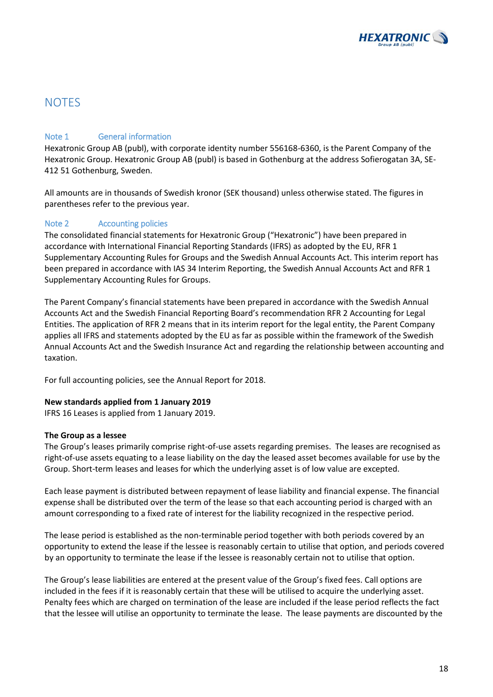

## **NOTES**

### Note 1 General information

Hexatronic Group AB (publ), with corporate identity number 556168-6360, is the Parent Company of the Hexatronic Group. Hexatronic Group AB (publ) is based in Gothenburg at the address Sofierogatan 3A, SE-412 51 Gothenburg, Sweden.

All amounts are in thousands of Swedish kronor (SEK thousand) unless otherwise stated. The figures in parentheses refer to the previous year.

### Note 2 Accounting policies

The consolidated financial statements for Hexatronic Group ("Hexatronic") have been prepared in accordance with International Financial Reporting Standards (IFRS) as adopted by the EU, RFR 1 Supplementary Accounting Rules for Groups and the Swedish Annual Accounts Act. This interim report has been prepared in accordance with IAS 34 Interim Reporting, the Swedish Annual Accounts Act and RFR 1 Supplementary Accounting Rules for Groups.

The Parent Company's financial statements have been prepared in accordance with the Swedish Annual Accounts Act and the Swedish Financial Reporting Board's recommendation RFR 2 Accounting for Legal Entities. The application of RFR 2 means that in its interim report for the legal entity, the Parent Company applies all IFRS and statements adopted by the EU as far as possible within the framework of the Swedish Annual Accounts Act and the Swedish Insurance Act and regarding the relationship between accounting and taxation.

For full accounting policies, see the Annual Report for 2018.

#### **New standards applied from 1 January 2019**

IFRS 16 Leases is applied from 1 January 2019.

#### **The Group as a lessee**

The Group's leases primarily comprise right-of-use assets regarding premises. The leases are recognised as right-of-use assets equating to a lease liability on the day the leased asset becomes available for use by the Group. Short-term leases and leases for which the underlying asset is of low value are excepted.

Each lease payment is distributed between repayment of lease liability and financial expense. The financial expense shall be distributed over the term of the lease so that each accounting period is charged with an amount corresponding to a fixed rate of interest for the liability recognized in the respective period.

The lease period is established as the non-terminable period together with both periods covered by an opportunity to extend the lease if the lessee is reasonably certain to utilise that option, and periods covered by an opportunity to terminate the lease if the lessee is reasonably certain not to utilise that option.

The Group's lease liabilities are entered at the present value of the Group's fixed fees. Call options are included in the fees if it is reasonably certain that these will be utilised to acquire the underlying asset. Penalty fees which are charged on termination of the lease are included if the lease period reflects the fact that the lessee will utilise an opportunity to terminate the lease. The lease payments are discounted by the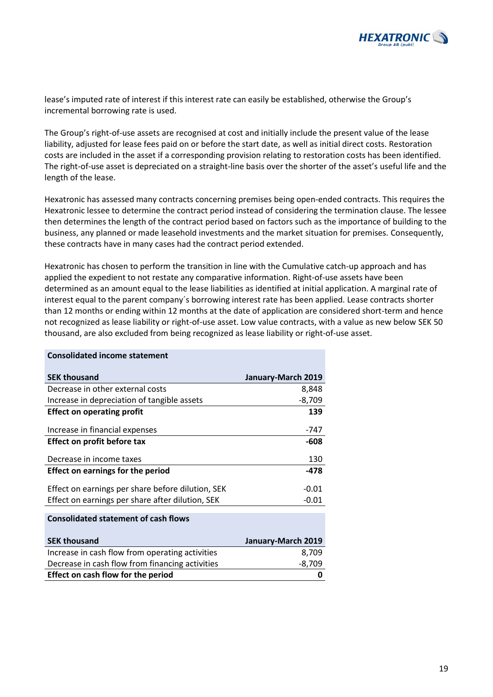

lease's imputed rate of interest if this interest rate can easily be established, otherwise the Group's incremental borrowing rate is used.

The Group's right-of-use assets are recognised at cost and initially include the present value of the lease liability, adjusted for lease fees paid on or before the start date, as well as initial direct costs. Restoration costs are included in the asset if a corresponding provision relating to restoration costs has been identified. The right-of-use asset is depreciated on a straight-line basis over the shorter of the asset's useful life and the length of the lease.

Hexatronic has assessed many contracts concerning premises being open-ended contracts. This requires the Hexatronic lessee to determine the contract period instead of considering the termination clause. The lessee then determines the length of the contract period based on factors such as the importance of building to the business, any planned or made leasehold investments and the market situation for premises. Consequently, these contracts have in many cases had the contract period extended.

Hexatronic has chosen to perform the transition in line with the Cumulative catch-up approach and has applied the expedient to not restate any comparative information. Right-of-use assets have been determined as an amount equal to the lease liabilities as identified at initial application. A marginal rate of interest equal to the parent company´s borrowing interest rate has been applied. Lease contracts shorter than 12 months or ending within 12 months at the date of application are considered short-term and hence not recognized as lease liability or right-of-use asset. Low value contracts, with a value as new below SEK 50 thousand, are also excluded from being recognized as lease liability or right-of-use asset.

| <b>Consolidated income statement</b>              |                    |
|---------------------------------------------------|--------------------|
| <b>SEK thousand</b>                               | January-March 2019 |
| Decrease in other external costs                  | 8,848              |
| Increase in depreciation of tangible assets       | $-8,709$           |
| <b>Effect on operating profit</b>                 | 139                |
| Increase in financial expenses                    | -747               |
| <b>Effect on profit before tax</b>                | -608               |
| Decrease in income taxes                          | 130                |
| <b>Effect on earnings for the period</b>          | -478               |
| Effect on earnings per share before dilution, SEK | $-0.01$            |
| Effect on earnings per share after dilution, SEK  | $-0.01$            |
| <b>Consolidated statement of cash flows</b>       |                    |
| <b>SEK thousand</b>                               | January-March 2019 |
| Increase in cash flow from operating activities   | 8,709              |
| Decrease in cash flow from financing activities   | $-8,709$           |
| <b>Effect on cash flow for the period</b>         | 0                  |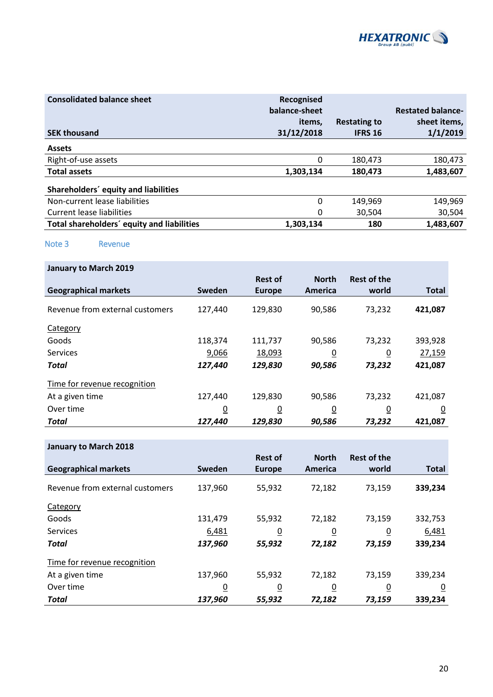

| <b>Consolidated balance sheet</b>          | Recognised<br>balance-sheet |                     | <b>Restated balance-</b> |
|--------------------------------------------|-----------------------------|---------------------|--------------------------|
|                                            | items.                      | <b>Restating to</b> | sheet items,             |
| <b>SEK thousand</b>                        | 31/12/2018                  | <b>IFRS 16</b>      | 1/1/2019                 |
| <b>Assets</b>                              |                             |                     |                          |
| Right-of-use assets                        | 0                           | 180,473             | 180,473                  |
| <b>Total assets</b>                        | 1,303,134                   | 180.473             | 1,483,607                |
| Shareholders' equity and liabilities       |                             |                     |                          |
| Non-current lease liabilities              | 0                           | 149,969             | 149,969                  |
| Current lease liabilities                  | 0                           | 30.504              | 30,504                   |
| Total shareholders' equity and liabilities | 1,303,134                   | 180                 | 1,483,607                |

Note 3 Revenue

| <b>January to March 2019</b>    |                |                |                |                    |              |
|---------------------------------|----------------|----------------|----------------|--------------------|--------------|
|                                 |                | <b>Rest of</b> | <b>North</b>   | <b>Rest of the</b> |              |
| <b>Geographical markets</b>     | Sweden         | <b>Europe</b>  | America        | world              | <b>Total</b> |
| Revenue from external customers | 127,440        | 129,830        | 90,586         | 73,232             | 421,087      |
| Category                        |                |                |                |                    |              |
| Goods                           | 118,374        | 111,737        | 90,586         | 73,232             | 393,928      |
| <b>Services</b>                 | 9,066          | 18,093         | <u>0</u>       | $\overline{0}$     | 27,159       |
| Total                           | 127,440        | 129,830        | 90,586         | 73,232             | 421,087      |
| Time for revenue recognition    |                |                |                |                    |              |
| At a given time                 | 127,440        | 129,830        | 90,586         | 73,232             | 421,087      |
| Over time                       | $\overline{0}$ | $\overline{0}$ | $\overline{0}$ | $\overline{0}$     | <u>0</u>     |
| Total                           | 127,440        | 129,830        | 90,586         | 73,232             | 421,087      |

|                                 |                | <b>Rest of</b> | <b>North</b>   | <b>Rest of the</b> |                |
|---------------------------------|----------------|----------------|----------------|--------------------|----------------|
| <b>Geographical markets</b>     | Sweden         | <b>Europe</b>  | America        | world              | <b>Total</b>   |
| Revenue from external customers | 137,960        | 55,932         | 72,182         | 73,159             | 339,234        |
| Category                        |                |                |                |                    |                |
| Goods                           | 131,479        | 55,932         | 72,182         | 73,159             | 332,753        |
| <b>Services</b>                 | 6,481          | $\overline{0}$ | $\overline{0}$ | $\overline{0}$     | 6,481          |
| Total                           | 137,960        | 55,932         | 72,182         | 73,159             | 339,234        |
| Time for revenue recognition    |                |                |                |                    |                |
| At a given time                 | 137,960        | 55,932         | 72,182         | 73,159             | 339,234        |
| Over time                       | $\overline{0}$ | 0              | $\overline{0}$ | $\overline{0}$     | $\overline{0}$ |
| Total                           | 137,960        | 55,932         | 72,182         | 73,159             | 339,234        |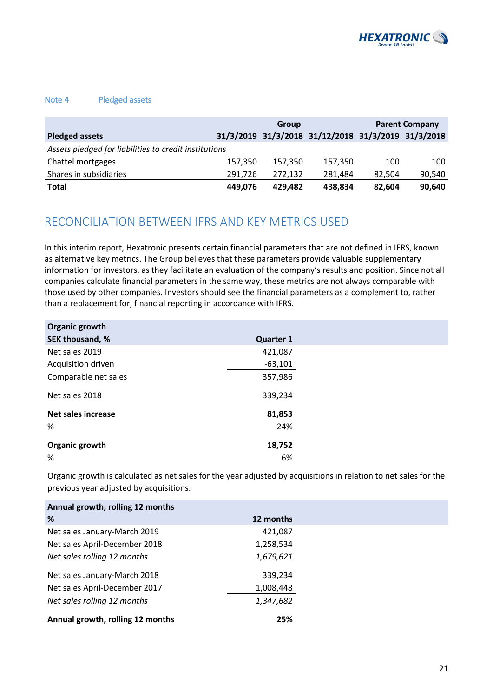

#### Note 4 Pledged assets

|                                                       | Group   |         |                                                    | <b>Parent Company</b> |        |  |
|-------------------------------------------------------|---------|---------|----------------------------------------------------|-----------------------|--------|--|
| <b>Pledged assets</b>                                 |         |         | 31/3/2019 31/3/2018 31/12/2018 31/3/2019 31/3/2018 |                       |        |  |
| Assets pledged for liabilities to credit institutions |         |         |                                                    |                       |        |  |
| Chattel mortgages                                     | 157,350 | 157,350 | 157,350                                            | 100                   | 100    |  |
| Shares in subsidiaries                                | 291.726 | 272,132 | 281.484                                            | 82.504                | 90,540 |  |
| Total                                                 | 449.076 | 429.482 | 438,834                                            | 82.604                | 90,640 |  |

## RECONCILIATION BETWEEN IFRS AND KEY METRICS USED

In this interim report, Hexatronic presents certain financial parameters that are not defined in IFRS, known as alternative key metrics. The Group believes that these parameters provide valuable supplementary information for investors, as they facilitate an evaluation of the company's results and position. Since not all companies calculate financial parameters in the same way, these metrics are not always comparable with those used by other companies. Investors should see the financial parameters as a complement to, rather than a replacement for, financial reporting in accordance with IFRS.

| Organic growth       |                  |
|----------------------|------------------|
| SEK thousand, %      | <b>Quarter 1</b> |
| Net sales 2019       | 421,087          |
| Acquisition driven   | $-63,101$        |
| Comparable net sales | 357,986          |
| Net sales 2018       | 339,234          |
| Net sales increase   | 81,853           |
| %                    | 24%              |
| Organic growth       | 18,752           |
| %                    | 6%               |

Organic growth is calculated as net sales for the year adjusted by acquisitions in relation to net sales for the previous year adjusted by acquisitions.

| Annual growth, rolling 12 months |           |
|----------------------------------|-----------|
| %                                | 12 months |
| Net sales January-March 2019     | 421,087   |
| Net sales April-December 2018    | 1,258,534 |
| Net sales rolling 12 months      | 1,679,621 |
| Net sales January-March 2018     | 339,234   |
| Net sales April-December 2017    | 1,008,448 |
| Net sales rolling 12 months      | 1,347,682 |
| Annual growth, rolling 12 months | 25%       |